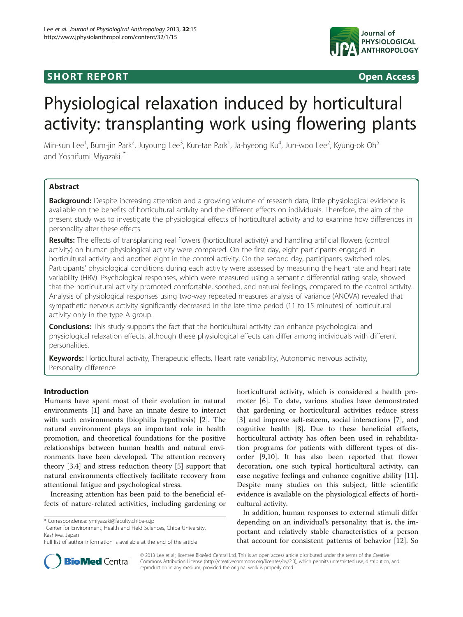# **SHORT REPORT SHORT CONSTRUCTES**



# Physiological relaxation induced by horticultural activity: transplanting work using flowering plants

Min-sun Lee<sup>1</sup>, Bum-jin Park<sup>2</sup>, Juyoung Lee<sup>3</sup>, Kun-tae Park<sup>1</sup>, Ja-hyeong Ku<sup>4</sup>, Jun-woo Lee<sup>2</sup>, Kyung-ok Oh<sup>5</sup> and Yoshifumi Miyazaki<sup>1\*</sup>

# Abstract

Background: Despite increasing attention and a growing volume of research data, little physiological evidence is available on the benefits of horticultural activity and the different effects on individuals. Therefore, the aim of the present study was to investigate the physiological effects of horticultural activity and to examine how differences in personality alter these effects.

Results: The effects of transplanting real flowers (horticultural activity) and handling artificial flowers (control activity) on human physiological activity were compared. On the first day, eight participants engaged in horticultural activity and another eight in the control activity. On the second day, participants switched roles. Participants' physiological conditions during each activity were assessed by measuring the heart rate and heart rate variability (HRV). Psychological responses, which were measured using a semantic differential rating scale, showed that the horticultural activity promoted comfortable, soothed, and natural feelings, compared to the control activity. Analysis of physiological responses using two-way repeated measures analysis of variance (ANOVA) revealed that sympathetic nervous activity significantly decreased in the late time period (11 to 15 minutes) of horticultural activity only in the type A group.

**Conclusions:** This study supports the fact that the horticultural activity can enhance psychological and physiological relaxation effects, although these physiological effects can differ among individuals with different personalities.

Keywords: Horticultural activity, Therapeutic effects, Heart rate variability, Autonomic nervous activity, Personality difference

# Introduction

Humans have spent most of their evolution in natural environments [\[1](#page-4-0)] and have an innate desire to interact with such environments (biophilia hypothesis) [[2\]](#page-4-0). The natural environment plays an important role in health promotion, and theoretical foundations for the positive relationships between human health and natural environments have been developed. The attention recovery theory [\[3,4](#page-4-0)] and stress reduction theory [[5\]](#page-4-0) support that natural environments effectively facilitate recovery from attentional fatigue and psychological stress.

Increasing attention has been paid to the beneficial effects of nature-related activities, including gardening or

<sup>1</sup> Center for Environment, Health and Field Sciences, Chiba University, Kashiwa, Japan

horticultural activity, which is considered a health promoter [\[6\]](#page-4-0). To date, various studies have demonstrated that gardening or horticultural activities reduce stress [[3\]](#page-4-0) and improve self-esteem, social interactions [\[7](#page-4-0)], and cognitive health [[8\]](#page-4-0). Due to these beneficial effects, horticultural activity has often been used in rehabilitation programs for patients with different types of disorder [[9,10\]](#page-4-0). It has also been reported that flower decoration, one such typical horticultural activity, can ease negative feelings and enhance cognitive ability [\[11](#page-4-0)]. Despite many studies on this subject, little scientific evidence is available on the physiological effects of horticultural activity.

In addition, human responses to external stimuli differ depending on an individual's personality; that is, the important and relatively stable characteristics of a person that account for consistent patterns of behavior [[12\]](#page-4-0). So



© 2013 Lee et al.; licensee BioMed Central Ltd. This is an open access article distributed under the terms of the Creative Commons Attribution License [\(http://creativecommons.org/licenses/by/2.0\)](http://creativecommons.org/licenses/by/2.0), which permits unrestricted use, distribution, and reproduction in any medium, provided the original work is properly cited.

<sup>\*</sup> Correspondence: [ymiyazaki@faculty.chiba-u.jp](mailto:ymiyazaki@faculty.chiba-u.jp) <sup>1</sup>

Full list of author information is available at the end of the article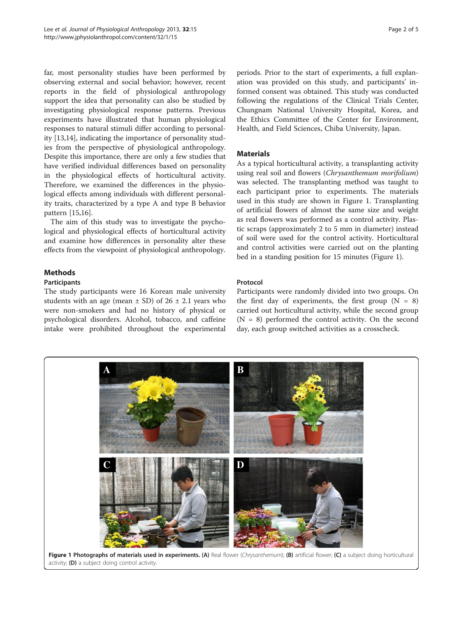far, most personality studies have been performed by observing external and social behavior; however, recent reports in the field of physiological anthropology support the idea that personality can also be studied by investigating physiological response patterns. Previous experiments have illustrated that human physiological responses to natural stimuli differ according to personality [[13,14\]](#page-4-0), indicating the importance of personality studies from the perspective of physiological anthropology. Despite this importance, there are only a few studies that have verified individual differences based on personality in the physiological effects of horticultural activity. Therefore, we examined the differences in the physiological effects among individuals with different personality traits, characterized by a type A and type B behavior pattern [\[15,16\]](#page-4-0).

The aim of this study was to investigate the psychological and physiological effects of horticultural activity and examine how differences in personality alter these effects from the viewpoint of physiological anthropology.

# Methods

#### **Participants**

The study participants were 16 Korean male university students with an age (mean  $\pm$  SD) of 26  $\pm$  2.1 years who were non-smokers and had no history of physical or psychological disorders. Alcohol, tobacco, and caffeine intake were prohibited throughout the experimental

periods. Prior to the start of experiments, a full explanation was provided on this study, and participants' informed consent was obtained. This study was conducted following the regulations of the Clinical Trials Center, Chungnam National University Hospital, Korea, and the Ethics Committee of the Center for Environment, Health, and Field Sciences, Chiba University, Japan.

### **Materials**

As a typical horticultural activity, a transplanting activity using real soil and flowers (Chrysanthemum morifolium) was selected. The transplanting method was taught to each participant prior to experiments. The materials used in this study are shown in Figure 1. Transplanting of artificial flowers of almost the same size and weight as real flowers was performed as a control activity. Plastic scraps (approximately 2 to 5 mm in diameter) instead of soil were used for the control activity. Horticultural and control activities were carried out on the planting bed in a standing position for 15 minutes (Figure 1).

# Protocol

Participants were randomly divided into two groups. On the first day of experiments, the first group  $(N = 8)$ carried out horticultural activity, while the second group  $(N = 8)$  performed the control activity. On the second day, each group switched activities as a crosscheck.

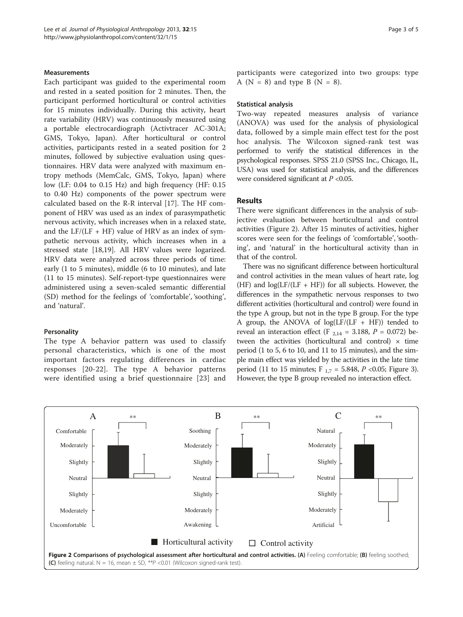#### **Measurements**

Each participant was guided to the experimental room and rested in a seated position for 2 minutes. Then, the participant performed horticultural or control activities for 15 minutes individually. During this activity, heart rate variability (HRV) was continuously measured using a portable electrocardiograph (Activtracer AC-301A; GMS, Tokyo, Japan). After horticultural or control activities, participants rested in a seated position for 2 minutes, followed by subjective evaluation using questionnaires. HRV data were analyzed with maximum entropy methods (MemCalc, GMS, Tokyo, Japan) where low (LF: 0.04 to 0.15 Hz) and high frequency (HF: 0.15 to 0.40 Hz) components of the power spectrum were calculated based on the R-R interval [[17\]](#page-4-0). The HF component of HRV was used as an index of parasympathetic nervous activity, which increases when in a relaxed state, and the  $LF/(LF + HF)$  value of HRV as an index of sympathetic nervous activity, which increases when in a stressed state [[18](#page-4-0),[19](#page-4-0)]. All HRV values were logarized. HRV data were analyzed across three periods of time: early (1 to 5 minutes), middle (6 to 10 minutes), and late (11 to 15 minutes). Self-report-type questionnaires were administered using a seven-scaled semantic differential (SD) method for the feelings of 'comfortable', 'soothing', and 'natural'.

#### **Personality**

The type A behavior pattern was used to classify personal characteristics, which is one of the most important factors regulating differences in cardiac responses [[20](#page-4-0)-[22](#page-4-0)]. The type A behavior patterns were identified using a brief questionnaire [\[23\]](#page-4-0) and participants were categorized into two groups: type A ( $N = 8$ ) and type B ( $N = 8$ ).

#### Statistical analysis

Two-way repeated measures analysis of variance (ANOVA) was used for the analysis of physiological data, followed by a simple main effect test for the post hoc analysis. The Wilcoxon signed-rank test was performed to verify the statistical differences in the psychological responses. SPSS 21.0 (SPSS Inc., Chicago, IL, USA) was used for statistical analysis, and the differences were considered significant at  $P < 0.05$ .

#### Results

There were significant differences in the analysis of subjective evaluation between horticultural and control activities (Figure 2). After 15 minutes of activities, higher scores were seen for the feelings of 'comfortable', 'soothing', and 'natural' in the horticultural activity than in that of the control.

There was no significant difference between horticultural and control activities in the mean values of heart rate, log (HF) and  $log(LF/(LF + HF))$  for all subjects. However, the differences in the sympathetic nervous responses to two different activities (horticultural and control) were found in the type A group, but not in the type B group. For the type A group, the ANOVA of  $log(LF/(LF + HF))$  tended to reveal an interaction effect (F  $_{2,14}$  = 3.188, P = 0.072) between the activities (horticultural and control)  $\times$  time period (1 to 5, 6 to 10, and 11 to 15 minutes), and the simple main effect was yielded by the activities in the late time period (11 to 15 minutes;  $F_{1,7} = 5.848$ ,  $P < 0.05$ ; Figure [3](#page-3-0)). However, the type B group revealed no interaction effect.

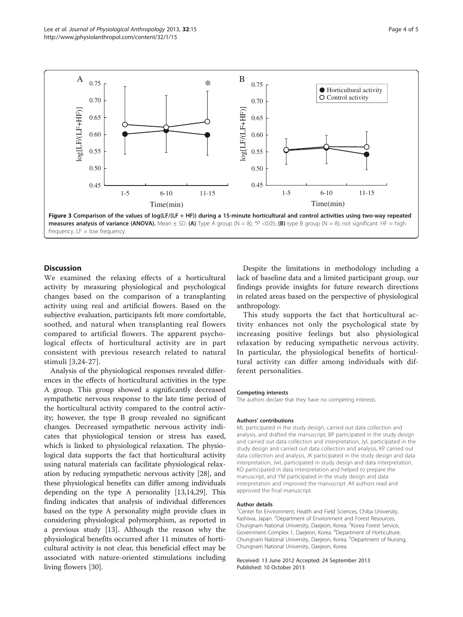<span id="page-3-0"></span>

# **Discussion**

We examined the relaxing effects of a horticultural activity by measuring physiological and psychological changes based on the comparison of a transplanting activity using real and artificial flowers. Based on the subjective evaluation, participants felt more comfortable, soothed, and natural when transplanting real flowers compared to artificial flowers. The apparent psychological effects of horticultural activity are in part consistent with previous research related to natural stimuli [[3](#page-4-0),[24-27\]](#page-4-0).

Analysis of the physiological responses revealed differences in the effects of horticultural activities in the type A group. This group showed a significantly decreased sympathetic nervous response to the late time period of the horticultural activity compared to the control activity; however, the type B group revealed no significant changes. Decreased sympathetic nervous activity indicates that physiological tension or stress has eased, which is linked to physiological relaxation. The physiological data supports the fact that horticultural activity using natural materials can facilitate physiological relaxation by reducing sympathetic nervous activity [[28\]](#page-4-0), and these physiological benefits can differ among individuals depending on the type A personality [[13,14,29\]](#page-4-0). This finding indicates that analysis of individual differences based on the type A personality might provide clues in considering physiological polymorphism, as reported in a previous study [\[13](#page-4-0)]. Although the reason why the physiological benefits occurred after 11 minutes of horticultural activity is not clear, this beneficial effect may be associated with nature-oriented stimulations including living flowers [\[30](#page-4-0)].

Despite the limitations in methodology including a lack of baseline data and a limited participant group, our findings provide insights for future research directions in related areas based on the perspective of physiological anthropology.

This study supports the fact that horticultural activity enhances not only the psychological state by increasing positive feelings but also physiological relaxation by reducing sympathetic nervous activity. In particular, the physiological benefits of horticultural activity can differ among individuals with different personalities.

#### Competing interests

The authors declare that they have no competing interests.

#### Authors' contributions

ML participated in the study design, carried out data collection and analysis, and drafted the manuscript, BP participated in the study design and carried out data collection and interpretation, JyL participated in the study design and carried out data collection and analysis, KP carried out data collection and analysis, JK participated in the study design and data interpretation, JwL participated in study design and data interpretation, KO participated in data interpretation and helped to prepare the manuscript, and YM participated in the study design and data interpretation and improved the manuscript. All authors read and approved the final manuscript.

#### Author details

<sup>1</sup> Center for Environment, Health and Field Sciences, Chiba University Kashiwa, Japan. <sup>2</sup>Department of Environment and Forest Resources Chungnam National University, Daejeon, Korea. <sup>3</sup>Korea Forest Service, Government Complex 1, Daejeon, Korea. <sup>4</sup>Department of Horticulture, Chungnam National University, Daejeon, Korea. <sup>5</sup>Department of Nursing Chungnam National University, Daejeon, Korea.

Received: 13 June 2012 Accepted: 24 September 2013 Published: 10 October 2013